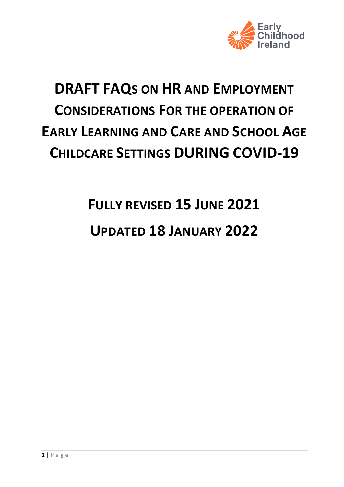

# **DRAFT FAQS ON HR AND EMPLOYMENT CONSIDERATIONS FOR THE OPERATION OF EARLY LEARNING AND CARE AND SCHOOL AGE CHILDCARE SETTINGS DURING COVID-19**

# **FULLY REVISED 15 JUNE 2021 UPDATED 18 JANUARY 2022**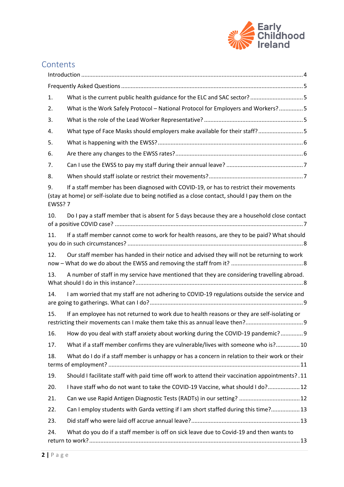

# Contents

| 1.            |                                                                                                                                                                                             |  |  |  |
|---------------|---------------------------------------------------------------------------------------------------------------------------------------------------------------------------------------------|--|--|--|
| 2.            | What is the Work Safely Protocol - National Protocol for Employers and Workers?5                                                                                                            |  |  |  |
| 3.            |                                                                                                                                                                                             |  |  |  |
| 4.            | What type of Face Masks should employers make available for their staff? 5                                                                                                                  |  |  |  |
| 5.            |                                                                                                                                                                                             |  |  |  |
| 6.            |                                                                                                                                                                                             |  |  |  |
| 7.            |                                                                                                                                                                                             |  |  |  |
| 8.            |                                                                                                                                                                                             |  |  |  |
| 9.<br>EWSS? 7 | If a staff member has been diagnosed with COVID-19, or has to restrict their movements<br>(stay at home) or self-isolate due to being notified as a close contact, should I pay them on the |  |  |  |
| 10.           | Do I pay a staff member that is absent for 5 days because they are a household close contact                                                                                                |  |  |  |
| 11.           | If a staff member cannot come to work for health reasons, are they to be paid? What should                                                                                                  |  |  |  |
| 12.           | Our staff member has handed in their notice and advised they will not be returning to work                                                                                                  |  |  |  |
| 13.           | A number of staff in my service have mentioned that they are considering travelling abroad.                                                                                                 |  |  |  |
| 14.           | I am worried that my staff are not adhering to COVID-19 regulations outside the service and                                                                                                 |  |  |  |
| 15.           | If an employee has not returned to work due to health reasons or they are self-isolating or<br>restricting their movements can I make them take this as annual leave then?                  |  |  |  |
| 16.           | How do you deal with staff anxiety about working during the COVID-19 pandemic? 9                                                                                                            |  |  |  |
| 17.           | What if a staff member confirms they are vulnerable/lives with someone who is? 10                                                                                                           |  |  |  |
| 18.           | What do I do if a staff member is unhappy or has a concern in relation to their work or their                                                                                               |  |  |  |
| 19.           | Should I facilitate staff with paid time off work to attend their vaccination appointments? .11                                                                                             |  |  |  |
| 20.           | I have staff who do not want to take the COVID-19 Vaccine, what should I do? 12                                                                                                             |  |  |  |
| 21.           | Can we use Rapid Antigen Diagnostic Tests (RADTs) in our setting?  12                                                                                                                       |  |  |  |
| 22.           | Can I employ students with Garda vetting if I am short staffed during this time? 13                                                                                                         |  |  |  |
| 23.           |                                                                                                                                                                                             |  |  |  |
| 24.           | What do you do if a staff member is off on sick leave due to Covid-19 and then wants to                                                                                                     |  |  |  |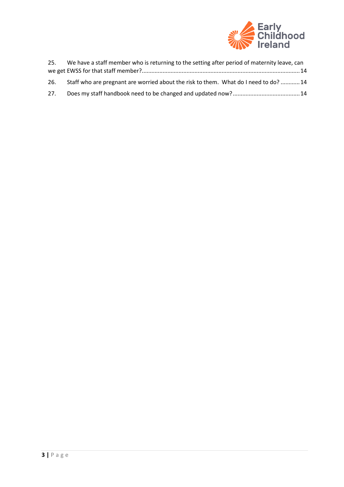

| 25. | We have a staff member who is returning to the setting after period of maternity leave, can |  |
|-----|---------------------------------------------------------------------------------------------|--|
|     |                                                                                             |  |
|     | 26. Staff who are pregnant are worried about the risk to them. What do I need to do? 14     |  |
| 27. |                                                                                             |  |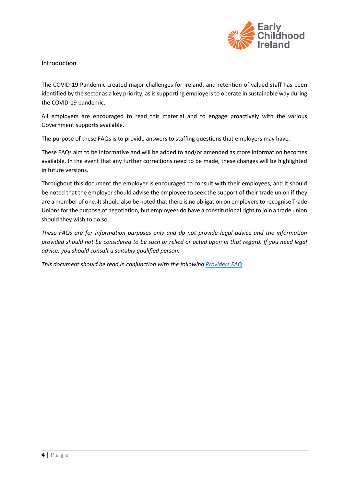

#### <span id="page-3-0"></span>Introduction

The COVID-19 Pandemic created major challenges for Ireland, and retention of valued staff has been identified by the sector as a key priority, as issupporting employers to operate in sustainable way during the COVID-19 pandemic.

All employers are encouraged to read this material and to engage proactively with the various Government supports available.

The purpose of these FAQs is to provide answers to staffing questions that employers may have.

These FAQs aim to be informative and will be added to and/or amended as more information becomes available. In the event that any further corrections need to be made, these changes will be highlighted in future versions.

Throughout this document the employer is encouraged to consult with their employees, and it should be noted that the employer should advise the employee to seek the support of their trade union if they are a member of one. It should also be noted that there is no obligation on employers to recognise Trade Unions for the purpose of negotiation, but employees do have a constitutional right to join a trade union should they wish to do so.

*These FAQs are for information purposes only and do not provide legal advice and the information provided should not be considered to be such or relied or acted upon in that regard. If you need legal advice, you should consult a suitably qualified person.*

*This document should be read in conjunction with the following [Providers FAQ](https://www.gov.ie/en/publication/c5015-faqs-updated-for-providers-of-early-learning-and-care-and-school-age-childcare-services-27-january/)*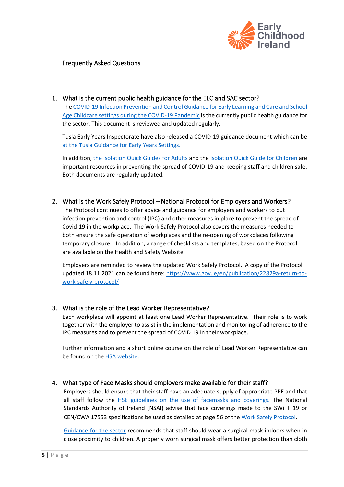

#### <span id="page-4-0"></span>Frequently Asked Questions

<span id="page-4-1"></span>1. What is the current public health guidance for the ELC and SAC sector? Th[e COVID-19 Infection Prevention and Control Guidance for Early Learning and Care and School](https://www.hpsc.ie/a-z/respiratory/coronavirus/novelcoronavirus/guidance/childcareguidance/Guidance%20for%20services%20providing%20childcare%20services.pdf)  [Age Childcare settings during the COVID-19 Pandemic](https://www.hpsc.ie/a-z/respiratory/coronavirus/novelcoronavirus/guidance/childcareguidance/Guidance%20for%20services%20providing%20childcare%20services.pdf) is the currently public health guidance for the sector. This document is reviewed and updated regularly.

Tusla Early Years Inspectorate have also released a COVID-19 guidance document which can be at the [Tusla Guidance for Early Years Settings.](https://first5.gov.ie/userfiles/files/download/a07b466a23ee69c5.pdf)

In addition[, the Isolation Quick Guides for Adults](https://www.hpsc.ie/a-z/respiratory/coronavirus/novelcoronavirus/algorithms/Isolation%20quick%20guide%20Adults%20and%20children%20from%20their%2013th%20birthday.pdf) and the [Isolation Quick Guide for Children](https://www.hpsc.ie/a-z/respiratory/coronavirus/novelcoronavirus/factsheetsandresources/Isolation%20quick%20guide%20under%2013s.pdf) are important resources in preventing the spread of COVID-19 and keeping staff and children safe. Both documents are regularly updated.

<span id="page-4-2"></span>2. What is the Work Safely Protocol – National Protocol for Employers and Workers?

The Protocol continues to offer advice and guidance for employers and workers to put infection prevention and control (IPC) and other measures in place to prevent the spread of Covid-19 in the workplace. The Work Safely Protocol also covers the measures needed to both ensure the safe operation of workplaces and the re-opening of workplaces following temporary closure. In addition, a range of checklists and templates, based on the Protocol are available on the Health and Safety Website.

Employers are reminded to review the updated Work Safely Protocol. A copy of the Protocol updated 18.11.2021 can be found here[: https://www.gov.ie/en/publication/22829a-return-to](https://www.gov.ie/en/publication/22829a-return-to-work-safely-protocol/)[work-safely-protocol/](https://www.gov.ie/en/publication/22829a-return-to-work-safely-protocol/)

#### <span id="page-4-3"></span>3. What is the role of the Lead Worker Representative?

Each workplace will appoint at least one Lead Worker Representative. Their role is to work together with the employer to assist in the implementation and monitoring of adherence to the IPC measures and to prevent the spread of COVID 19 in their workplace.

Further information and a short online course on the role of Lead Worker Representative can be found on the [HSA website.](http://www.hsa.ie/)

#### <span id="page-4-4"></span>4. What type of Face Masks should employers make available for their staff?

Employers should ensure that their staff have an adequate supply of appropriate PPE and that all staff follow the [HSE guidelines on the use of facemasks and coverings.](https://www2.hse.ie/conditions/covid19/preventing-the-spread/when-to-wear-face-covering/) The National Standards Authority of Ireland (NSAI) advise that face coverings made to the SWiFT 19 or CEN/CWA 17553 specifications be used as detailed at page 56 of the [Work Safely Protocol](https://assets.gov.ie/205016/20896268-4f5f-4dea-ac2e-2be1c65e61c2.pdf).

[Guidance for the sector](https://www.hpsc.ie/a-z/respiratory/coronavirus/novelcoronavirus/guidance/childcareguidance/Guidance%20for%20services%20providing%20childcare%20services.pdf) recommends that staff should wear a surgical mask indoors when in close proximity to children. A properly worn surgical mask offers better protection than cloth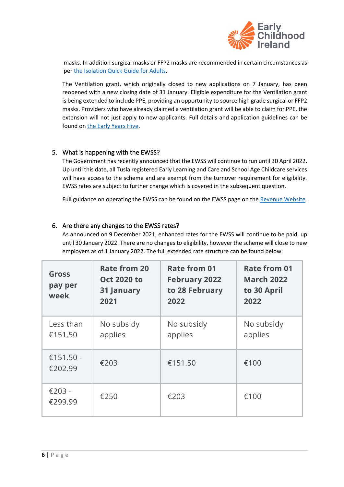

masks. In addition surgical masks or FFP2 masks are recommended in certain circumstances as per [the Isolation Quick Guide for Adults.](https://www.hpsc.ie/a-z/respiratory/coronavirus/novelcoronavirus/algorithms/Isolation%20quick%20guide%20Adults%20and%20children%20from%20their%2013th%20birthday.pdf)

The Ventilation grant, which originally closed to new applications on 7 January, has been reopened with a new closing date of 31 January. Eligible expenditure for the Ventilation grant is being extended to include PPE, providing an opportunity to source high grade surgical or FFP2 masks. Providers who have already claimed a ventilation grant will be able to claim for PPE, the extension will not just apply to new applicants. Full details and application guidelines can be found on [the Early Years Hive.](https://earlyyearshive.ncs.gov.ie/useful-links/)

#### <span id="page-5-0"></span>5. What is happening with the EWSS?

The Government ha[s recently announced](https://www.gov.ie/en/press-release/63fc8-minister-donohoe-announces-further-economic-supports-for-businesses-as-they-re-open/) that the EWSS will continue to run until 30 April 2022. Up until this date, all Tusla registered Early Learning and Care and School Age Childcare services will have access to the scheme and are exempt from the turnover requirement for eligibility. EWSS rates are subject to further change which is covered in the subsequent question.

Full guidance on operating the EWSS can be found on the EWSS page on the [Revenue Website.](https://revenue.ie/en/employing-people/ewss/index.aspx)

### <span id="page-5-1"></span>6. Are there any changes to the EWSS rates?

As announced on 9 December 2021, enhanced rates for the EWSS will continue to be paid, up until 30 January 2022. There are no changes to eligibility, however the scheme will close to new employers as of 1 January 2022. The full extended rate structure can be found below:

| <b>Gross</b><br>pay per<br>week | <b>Rate from 20</b><br><b>Oct 2020 to</b><br>31 January<br>2021 | Rate from 01<br><b>February 2022</b><br>to 28 February<br>2022 | <b>Rate from 01</b><br><b>March 2022</b><br>to 30 April<br>2022 |
|---------------------------------|-----------------------------------------------------------------|----------------------------------------------------------------|-----------------------------------------------------------------|
| Less than<br>€151.50            | No subsidy<br>applies                                           | No subsidy<br>applies                                          | No subsidy<br>applies                                           |
| €151.50 -<br>€202.99            | €203                                                            | €151.50                                                        | €100                                                            |
| €203 -<br>€299.99               | €250                                                            | €203                                                           | €100                                                            |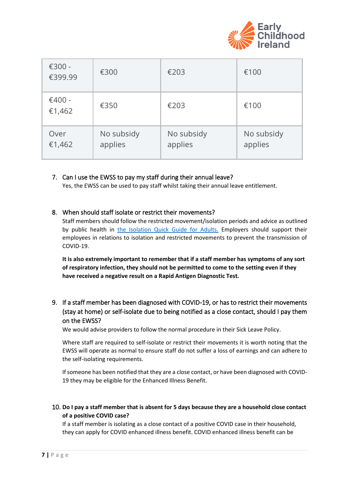

| €300 -<br>€399.99  | €300                  | €203                  | €100                  |
|--------------------|-----------------------|-----------------------|-----------------------|
| $€400 -$<br>€1,462 | €350                  | €203                  | €100                  |
| Over<br>€1,462     | No subsidy<br>applies | No subsidy<br>applies | No subsidy<br>applies |

#### <span id="page-6-0"></span>7. Can I use the EWSS to pay my staff during their annual leave?

Yes, the EWSS can be used to pay staff whilst taking their annual leave entitlement.

#### <span id="page-6-1"></span>8. When should staff isolate or restrict their movements?

Staff members should follow the restricted movement/isolation periods and advice as outlined by public health in the [Isolation Quick Guide for Adults.](https://www.hpsc.ie/a-z/respiratory/coronavirus/novelcoronavirus/algorithms/Isolation%20quick%20guide%20Adults%20and%20children%20from%20their%2013th%20birthday.pdf) Employers should support their employees in relations to isolation and restricted movements to prevent the transmission of COVID-19.

**It is also extremely important to remember that if a staff member has symptoms of any sort of respiratory infection, they should not be permitted to come to the setting even if they have received a negative result on a Rapid Antigen Diagnostic Test.**

# <span id="page-6-2"></span>9. If a staff member has been diagnosed with COVID-19, or has to restrict their movements (stay at home) or self-isolate due to being notified as a close contact, should I pay them on the EWSS?

We would advise providers to follow the normal procedure in their Sick Leave Policy.

Where staff are required to self-isolate or restrict their movements it is worth noting that the EWSS will operate as normal to ensure staff do not suffer a loss of earnings and can adhere to the self-isolating requirements.

If someone has been notified that they are a close contact, or have been diagnosed with COVID-19 they may be eligible for th[e Enhanced Illness Benefit.](https://www.gov.ie/en/service/df55ae-how-to-apply-for-illness-benefit-for-covid-19-absences/)

#### <span id="page-6-3"></span>10. **Do I pay a staff member that is absent for 5 days because they are a household close contact of a positive COVID case?**

If a staff member is isolating as a close contact of a positive COVID case in their household, they can apply for COVID enhanced illness benefit. COVID enhanced illness benefit can be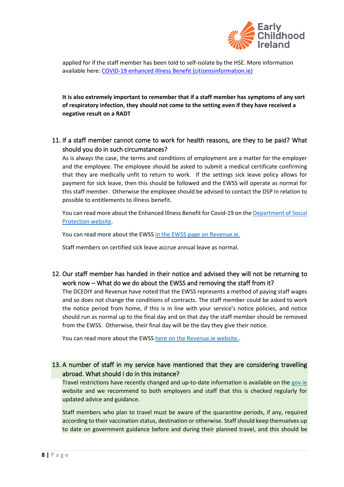

applied for if the staff member has been told to self-isolate by the HSE. More information available here: [COVID-19 enhanced Illness Benefit \(citizensinformation.ie\)](https://www.citizensinformation.ie/en/social_welfare/social_welfare_payments/disability_and_illness/covid19_enhanced_illness_benefit.html)

**It is also extremely important to remember that if a staff member has symptoms of any sort of respiratory infection, they should not come to the setting even if they have received a negative result on a RADT**

<span id="page-7-0"></span>11. If a staff member cannot come to work for health reasons, are they to be paid? What should you do in such circumstances?

As is always the case, the terms and conditions of employment are a matter for the employer and the employee. The employee should be asked to submit a medical certificate confirming that they are medically unfit to return to work. If the settings sick leave policy allows for payment for sick leave, then this should be followed and the EWSS will operate as normal for this staff member. Otherwise the employee should be advised to contact the DSP in relation to possible to entitlements t[o illness benefit.](https://www.citizensinformation.ie/en/social_welfare/social_welfare_payments/disability_and_illness/disability_benefit.html)

You can read more about the Enhanced Illness Benefit for Covid-19 on th[e Department of Social](https://www.gov.ie/en/service/df55ae-how-to-apply-for-illness-benefit-for-covid-19-absences/)  [Protection website.](https://www.gov.ie/en/service/df55ae-how-to-apply-for-illness-benefit-for-covid-19-absences/)

You can read more about the EWSS [in the EWSS page on Revenue.ie.](https://www.revenue.ie/en/corporate/communications/covid19/employment-wage-subsidy-scheme.aspx)

Staff members on certified sick leave accrue annual leave as normal.

<span id="page-7-1"></span>12. Our staff member has handed in their notice and advised they will not be returning to work now – What do we do about the EWSS and removing the staff from it?

The DCEDIY and Revenue have noted that the EWSS represents a method of paying staff wages and so does not change the conditions of contracts. The staff member could be asked to work the notice period from home, if this is in line with your service's notice policies, and notice should run as normal up to the final day and on that day the staff member should be removed from the EWSS. Otherwise, their final day will be the day they give their notice.

You can read more about the EWSS [here on the Revenue.ie website..](https://www.revenue.ie/en/corporate/communications/covid19/employment-wage-subsidy-scheme.aspx)

<span id="page-7-2"></span>13. A number of staff in my service have mentioned that they are considering travelling abroad. What should I do in this instance?

Travel restrictions have recently changed and up-to-date information is available on the [gov.ie](https://www.gov.ie/en/publication/77952-government-advice-on-international-travel/#travelling-with-children) website and we recommend to both employers and staff that this is checked regularly for updated advice and guidance.

Staff members who plan to travel must be aware of the quarantine periods, if any, required according to their vaccination status, destination or otherwise. Staff should keep themselves up to date on government guidance before and during their planned travel, and this should be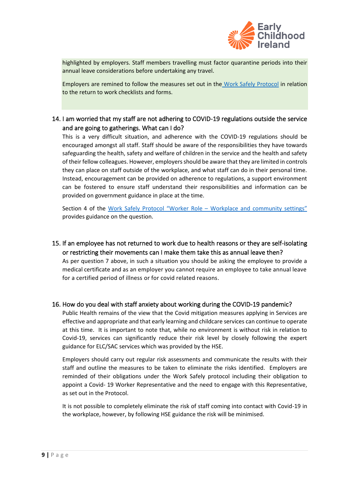

highlighted by employers. Staff members travelling must factor quarantine periods into their annual leave considerations before undertaking any travel.

Employers are remined to follow the measures set out in the [Work Safely Protocol](https://www.gov.ie/en/publication/22829a-return-to-work-safely-protocol/?referrer=http://www.gov.ie/en/publication/bb7fd-work-safely-protocol/) in relation to the return to work checklists and forms.

# <span id="page-8-0"></span>14. I am worried that my staff are not adhering to COVID-19 regulations outside the service and are going to gatherings. What can I do?

This is a very difficult situation, and adherence with the COVID-19 regulations should be encouraged amongst all staff. Staff should be aware of the responsibilities they have towards safeguarding the health, safety and welfare of children in the service and the health and safety of their fellow colleagues. However, employers should be aware that they are limited in controls they can place on staff outside of the workplace, and what staff can do in their personal time. Instead, encouragement can be provided on adherence to regulations, a support environment can be fostered to ensure staff understand their responsibilities and information can be provided on government guidance in place at the time.

Section 4 of the Work Safely Protocol "Worker Role – [Workplace and community settings"](https://www.gov.ie/en/publication/22829a-return-to-work-safely-protocol/?referrer=http://www.gov.ie/en/publication/bb7fd-work-safely-protocol/) provides guidance on the question.

<span id="page-8-1"></span>15. If an employee has not returned to work due to health reasons or they are self-isolating or restricting their movements can I make them take this as annual leave then? As per question 7 above, in such a situation you should be asking the employee to provide a medical certificate and as an employer you cannot require an employee to take annual leave for a certified period of illness or for covid related reasons.

#### <span id="page-8-2"></span>16. How do you deal with staff anxiety about working during the COVID-19 pandemic?

Public Health remains of the view that the Covid mitigation measures applying in Services are effective and appropriate and that early learning and childcare services can continue to operate at this time. It is important to note that, while no environment is without risk in relation to Covid-19, services can significantly reduce their risk level by closely following the expert guidance for ELC/SAC services which was provided by the HSE.

Employers should carry out regular risk assessments and communicate the results with their staff and outline the measures to be taken to eliminate the risks identified. Employers are reminded of their obligations under the Work Safely protocol including their obligation to appoint a Covid- 19 Worker Representative and the need to engage with this Representative, as set out in the [Protocol.](https://first5.gov.ie/userfiles/files/download/f91dda8fd810d9b3.pdf)

It is not possible to completely eliminate the risk of staff coming into contact with Covid-19 in the workplace, however, by following HSE guidance the risk will be minimised.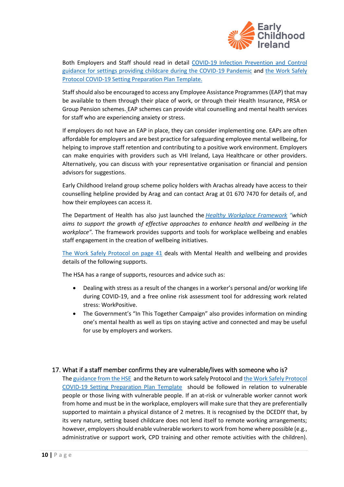

Both Employers and Staff should read in detail [COVID-19 Infection Prevention and Control](https://www.hpsc.ie/a-z/respiratory/coronavirus/novelcoronavirus/guidance/childcareguidance/Guidance%20for%20services%20providing%20childcare%20services.pdf)  [guidance for settings providing childcare during the COVID-19 Pandemic](https://www.hpsc.ie/a-z/respiratory/coronavirus/novelcoronavirus/guidance/childcareguidance/Guidance%20for%20services%20providing%20childcare%20services.pdf) and [the Work Safely](https://first5.gov.ie/userfiles/files/download/f91dda8fd810d9b3.pdf)  [Protocol COVID-19 Setting Preparation Plan Template.](https://first5.gov.ie/userfiles/files/download/f91dda8fd810d9b3.pdf)

Staff should also be encouraged to access any Employee Assistance Programmes(EAP) that may be available to them through their place of work, or through their Health Insurance, PRSA or Group Pension schemes. EAP schemes can provide vital counselling and mental health services for staff who are experiencing anxiety or stress.

If employers do not have an EAP in place, they can consider implementing one. EAPs are often affordable for employers and are best practice forsafeguarding employee mental wellbeing, for helping to improve staff retention and contributing to a positive work environment. Employers can make enquiries with providers such as VHI Ireland, Laya Healthcare or other providers. Alternatively, you can discuss with your representative organisation or financial and pension advisors for suggestions.

Early Childhood Ireland group scheme policy holders with Arachas already have access to their counselling helpline provided by Arag and can contact Arag at 01 670 7470 for details of, and how their employees can access it.

The Department of Health has also just launched the *[Healthy Workplace Framework](https://www.gov.ie/en/publication/445a4a-healthy-workplace-framework/) "which aims to support the growth of effective approaches to enhance health and wellbeing in the workplace".* The framework provides supports and tools for workplace wellbeing and enables staff engagement in the creation of wellbeing initiatives.

[The Work Safely Protocol on page 41](https://www.gov.ie/en/publication/22829a-return-to-work-safely-protocol/?referrer=http://www.gov.ie/en/publication/bb7fd-work-safely-protocol/) deals with Mental Health and wellbeing and provides details of the following supports.

The HSA has a range of supports, resources and advice such as:

- Dealing with stress as a result of the changes in a worker's personal and/or working life during COVID-19, and a free online risk assessment tool for addressing work related stress: WorkPositive.
- The Government's "In This Together Campaign" also provides information on minding one's mental health as well as tips on staying active and connected and may be useful for use by employers and workers.

#### <span id="page-9-0"></span>17. What if a staff member confirms they are vulnerable/lives with someone who is?

Th[e guidance from the HSE](https://www2.hse.ie/conditions/coronavirus/people-at-higher-risk.html) and the Return to work safely Protocol and the Work Safely Protocol [COVID-19 Setting Preparation Plan Template](https://first5.gov.ie/userfiles/files/download/f91dda8fd810d9b3.pdf) should be followed in relation to vulnerable people or those living with vulnerable people. If an at-risk or vulnerable worker cannot work from home and must be in the workplace, employers will make sure that they are preferentially supported to maintain a physical distance of 2 metres. It is recognised by the DCEDIY that, by its very nature, setting based childcare does not lend itself to remote working arrangements; however, employers should enable vulnerable workers to work from home where possible (e.g., administrative or support work, CPD training and other remote activities with the children).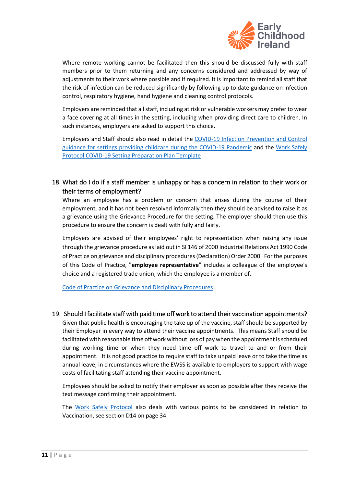

Where remote working cannot be facilitated then this should be discussed fully with staff members prior to them returning and any concerns considered and addressed by way of adjustments to their work where possible and if required. It is important to remind all staff that the risk of infection can be reduced significantly by following up to date guidance on infection control, respiratory hygiene, hand hygiene and cleaning control protocols.

Employers are reminded that all staff, including at risk or vulnerable workers may prefer to wear a face covering at all times in the setting, including when providing direct care to children. In such instances, employers are asked to support this choice.

Employers and Staff should also read in detail the [COVID-19 Infection Prevention and Control](https://www.hpsc.ie/a-z/respiratory/coronavirus/novelcoronavirus/guidance/childcareguidance/Guidance%20for%20services%20providing%20childcare%20services.pdf)  [guidance for settings providing childcare during the COVID-19 Pandemic](https://www.hpsc.ie/a-z/respiratory/coronavirus/novelcoronavirus/guidance/childcareguidance/Guidance%20for%20services%20providing%20childcare%20services.pdf) and the [Work Safely](https://first5.gov.ie/userfiles/files/download/f91dda8fd810d9b3.pdf)  [Protocol COVID-19 Setting Preparation Plan Template](https://first5.gov.ie/userfiles/files/download/f91dda8fd810d9b3.pdf)

# <span id="page-10-0"></span>18. What do I do if a staff member is unhappy or has a concern in relation to their work or their terms of employment?

Where an employee has a problem or concern that arises during the course of their employment, and it has not been resolved informally then they should be advised to raise it as a grievance using the Grievance Procedure for the setting. The employer should then use this procedure to ensure the concern is dealt with fully and fairly.

Employers are advised of their employees' right to representation when raising any issue through the grievance procedure as laid out in SI 146 of 2000 Industrial Relations Act 1990 Code of Practice on grievance and disciplinary procedures (Declaration) Order 2000. For the purposes of this Code of Practice, "**employee representative**" includes a colleague of the employee's choice and a registered trade union, which the employee is a member of.

[Code of Practice on Grievance and Disciplinary Procedures](https://www.workplacerelations.ie/en/what_you_should_know/codes_practice/cop3/)

#### 19. Should I facilitate staff with paid time off work to attend their vaccination appointments?

<span id="page-10-1"></span>Given that public health is encouraging the take up of the vaccine, staff should be supported by their Employer in every way to attend their vaccine appointments. This means Staff should be facilitated with reasonable time off work without loss of pay when the appointment is scheduled during working time or when they need time off work to travel to and or from their appointment. It is not good practice to require staff to take unpaid leave or to take the time as annual leave, in circumstances where the EWSS is available to employers to support with wage costs of facilitating staff attending their vaccine appointment.

Employees should be asked to notify their employer as soon as possible after they receive the text message confirming their appointment.

The [Work Safely Protocol](https://www.gov.ie/en/publication/22829a-return-to-work-safely-protocol/?referrer=http://www.gov.ie/en/publication/bb7fd-work-safely-protocol/) also deals with various points to be considered in relation to Vaccination, see section D14 on page 34.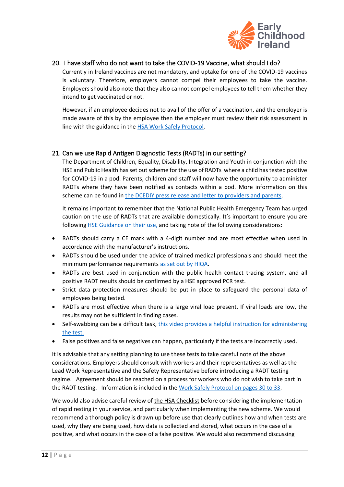

#### 20. I have staff who do not want to take the COVID-19 Vaccine, what should I do?

<span id="page-11-0"></span>Currently in Ireland vaccines are not mandatory, and uptake for one of the COVID-19 vaccines is voluntary. Therefore, employers cannot compel their employees to take the vaccine. Employers should also note that they also cannot compel employees to tell them whether they intend to get vaccinated or not.

However, if an employee decides not to avail of the offer of a vaccination, and the employer is made aware of this by the employee then the employer must review their risk assessment in line with the guidance in th[e HSA Work Safely Protocol.](https://www.gov.ie/en/publication/bb7fd-work-safely-protocol/)

#### <span id="page-11-1"></span>21. Can we use Rapid Antigen Diagnostic Tests (RADTs) in our setting?

The Department of Children, Equality, Disability, Integration and Youth in conjunction with the HSE and Public Health has set out scheme for the use of RADTs where a child has tested positive for COVID-19 in a pod. Parents, children and staff will now have the opportunity to administer RADTs where they have been notified as contacts within a pod. More information on this scheme can be found i[n the DCEDIY press release and letter to providers and parents.](https://www.gov.ie/en/press-release/36fc8-minister-ogorman-announces-launch-of-antigen-testing-programme-for-early-learning-and-childcare-services/)

It remains important to remember that the National Public Health Emergency Team has urged caution on the use of RADTs that are available domestically. It's important to ensure you are following [HSE Guidance on their use,](https://www2.hse.ie/conditions/covid19/testing/antigen-testing/) and taking note of the following considerations:

- RADTs should carry a CE mark with a 4-digit number and are most effective when used in accordance with the manufacturer's instructions.
- RADTs should be used under the advice of trained medical professionals and should meet the minimum performance requirements [as set out by HIQA.](https://www.hiqa.ie/reports-and-publications/health-technology-assessment/rapid-hta-alternative-tests-detect-current)
- RADTs are best used in conjunction with the public health contact tracing system, and all positive RADT results should be confirmed by a HSE approved PCR test.
- Strict data protection measures should be put in place to safeguard the personal data of employees being tested.
- RADTs are most effective when there is a large viral load present. If viral loads are low, the results may not be sufficient in finding cases.
- Self-swabbing can be a difficult task, this video provides a helpful instruction for administering [the test.](https://www.youtube.com/watch?v=zjJqOzyyRL4)
- False positives and false negatives can happen, particularly if the tests are incorrectly used.

It is advisable that any setting planning to use these tests to take careful note of the above considerations. Employers should consult with workers and their representatives as well as the Lead Work Representative and the Safety Representative before introducing a RADT testing regime. Agreement should be reached on a process for workers who do not wish to take part in the RADT testing. Information is included in th[e Work Safely Protocol](https://enterprise.gov.ie/en/Publications/Publication-files/Work-Safely-Protocol.pdf) on pages 30 to 33.

We would also advise careful review of [the HSA Checklist](https://www.hsa.ie/eng/topics/covid-19_coronavirus_information_and_resources/covid-19_business_supports/business_supports/work_safely_templates_checklists_and_posters/employers-checklist-no-10---radts--12-aug-2021.pdf) before considering the implementation of rapid resting in your service, and particularly when implementing the new scheme. We would recommend a thorough policy is drawn up before use that clearly outlines how and when tests are used, why they are being used, how data is collected and stored, what occurs in the case of a positive, and what occurs in the case of a false positive. We would also recommend discussing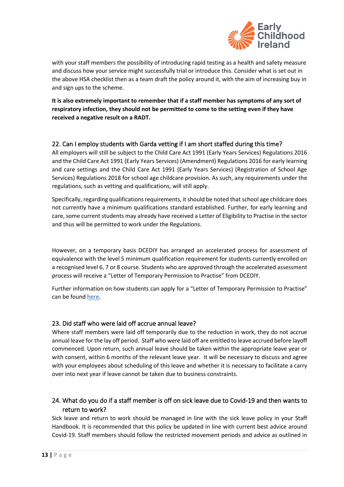

with your staff members the possibility of introducing rapid testing as a health and safety measure and discuss how your service might successfully trial or introduce this. Consider what is set out in the above HSA checklist then as a team draft the policy around it, with the aim of increasing buy in and sign ups to the scheme.

**It is also extremely important to remember that if a staff member has symptoms of any sort of respiratory infection, they should not be permitted to come to the setting even if they have received a negative result on a RADT.**

#### <span id="page-12-0"></span>22. Can I employ students with Garda vetting if I am short staffed during this time?

All employers will still be subject to the Child Care Act 1991 (Early Years Services) Regulations 2016 and the Child Care Act 1991 (Early Years Services) (Amendment) Regulations 2016 for early learning and care settings and the Child Care Act 1991 (Early Years Services) (Registration of School Age Services) Regulations 2018 for school age childcare provision. As such, any requirements under the regulations, such as vetting and qualifications, will still apply.

Specifically, regarding qualifications requirements, it should be noted that school age childcare does not currently have a minimum qualifications standard established. Further, for early learning and care, some current students may already have received a Letter of Eligibility to Practise in the sector and thus will be permitted to work under the Regulations.

However, on a temporary basis DCEDIY has arranged an accelerated process for assessment of equivalence with the level 5 minimum qualification requirement for students currently enrolled on a recognised level 6, 7 or 8 course. Students who are approved through the accelerated assessment process will receive a "Letter of Temporary Permission to Practise" from DCEDIY.

Further information on how students can apply for a "Letter of Temporary Permission to Practise" can be found [here.](https://www.gov.ie/en/organisation-information/e2f90-temporary-student-recruitment-in-early-learning-and-care-settings-during-the-covid-19-pandemic/)

#### <span id="page-12-1"></span>23. Did staff who were laid off accrue annual leave?

Where staff members were laid off temporarily due to the reduction in work, they do not accrue annual leave for the lay off period. Staff who were laid off are entitled to leave accrued before layoff commenced. Upon return, such annual leave should be taken within the appropriate leave year or with consent, within 6 months of the relevant leave year. It will be necessary to discuss and agree with your employees about scheduling of this leave and whether it is necessary to facilitate a carry over into next year if leave cannot be taken due to business constraints.

# <span id="page-12-2"></span>24. What do you do if a staff member is off on sick leave due to Covid-19 and then wants to return to work?

Sick leave and return to work should be managed in line with the sick leave policy in your Staff Handbook. It is recommended that this policy be updated in line with current best advice around Covid-19. Staff members should follow the restricted movement periods and advice as outlined in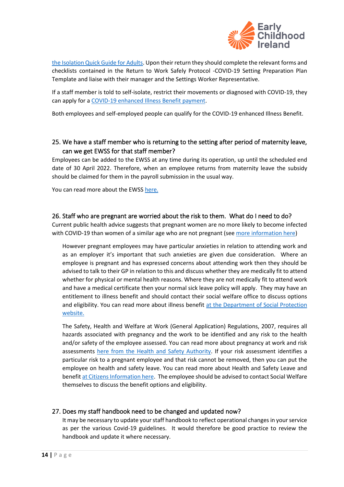

[the Isolation Quick Guide for Adults.](https://www.hpsc.ie/a-z/respiratory/coronavirus/novelcoronavirus/algorithms/Isolation%20quick%20guide%20Adults%20and%20children%20from%20their%2013th%20birthday.pdf) Upon their return they should complete the relevant forms and checklists contained in the Return to Work Safely Protocol -COVID-19 Setting Preparation Plan Template and liaise with their manager and the Settings Worker Representative.

If a staff member is told to [self-isolate,](https://www2.hse.ie/conditions/coronavirus/self-isolation-and-limited-social-interaction.html#self-isolate) [restrict their movements](https://www.citizensinformation.ie/en/health/covid19/covid19_isolation_and_restricting.en.html) or diagnosed with COVID-19, they can apply for a [COVID-19 enhanced Illness Benefit payment.](https://www.citizensinformation.ie/en/social_welfare/social_welfare_payments/disability_and_illness/covid19_enhanced_illness_benefit.html)

Both employees and self-employed people can qualify for the COVID-19 enhanced Illness Benefit.

### <span id="page-13-0"></span>25. We have a staff member who is returning to the setting after period of maternity leave, can we get EWSS for that staff member?

Employees can be added to the EWSS at any time during its operation, up until the scheduled end date of 30 April 2022. Therefore, when an employee returns from maternity leave the subsidy should be claimed for them in the payroll submission in the usual way.

You can read more about the EWSS [here.](https://www.revenue.ie/en/employing-people/documents/ewss/ewss-guidelines.pdf)

#### <span id="page-13-1"></span>26. Staff who are pregnant are worried about the risk to them. What do I need to do?

Current public health advice suggests that pregnant women are no more likely to become infected with COVID-19 than women of a similar age who are not pregnant (se[e more information here\)](https://www2.hse.ie/conditions/coronavirus-and-pregnancy.html)

However pregnant employees may have particular anxieties in relation to attending work and as an employer it's important that such anxieties are given due consideration. Where an employee is pregnant and has expressed concerns about attending work then they should be advised to talk to their GP in relation to this and discuss whether they are medically fit to attend whether for physical or mental health reasons. Where they are not medically fit to attend work and have a medical certificate then your normal sick leave policy will apply. They may have an entitlement to illness benefit and should contact their social welfare office to discuss options and eligibility. You can read more about illness benefit at the Department of Social Protection [website.](https://www.citizensinformation.ie/en/social_welfare/social_welfare_payments/disability_and_illness/disability_benefit.html)

The Safety, Health and Welfare at Work (General Application) Regulations, 2007, requires all hazards associated with pregnancy and the work to be identified and any risk to the health and/or safety of the employee assessed. You can read more about pregnancy at work and risk assessments [here from the Health and Safety Authority.](https://www.hsa.ie/eng/Workplace_Health/Sensitive_Risk_Groups/Pregnant_at_Work_FAQ_Responses/) If your risk assessment identifies a particular risk to a pregnant employee and that risk cannot be removed, then you can put the employee on health and safety leave. You can read more about Health and Safety Leave and benefi[t at Citizens Information here.](https://www.citizensinformation.ie/en/social_welfare/social_welfare_payments/social_welfare_payments_to_families_and_children/health_safety_benefit.html) The employee should be advised to contact Social Welfare themselves to discuss the benefit options and eligibility.

#### <span id="page-13-2"></span>27. Does my staff handbook need to be changed and updated now?

It may be necessary to update your staff handbook to reflect operational changes in your service as per the various Covid-19 guidelines. It would therefore be good practice to review the handbook and update it where necessary.